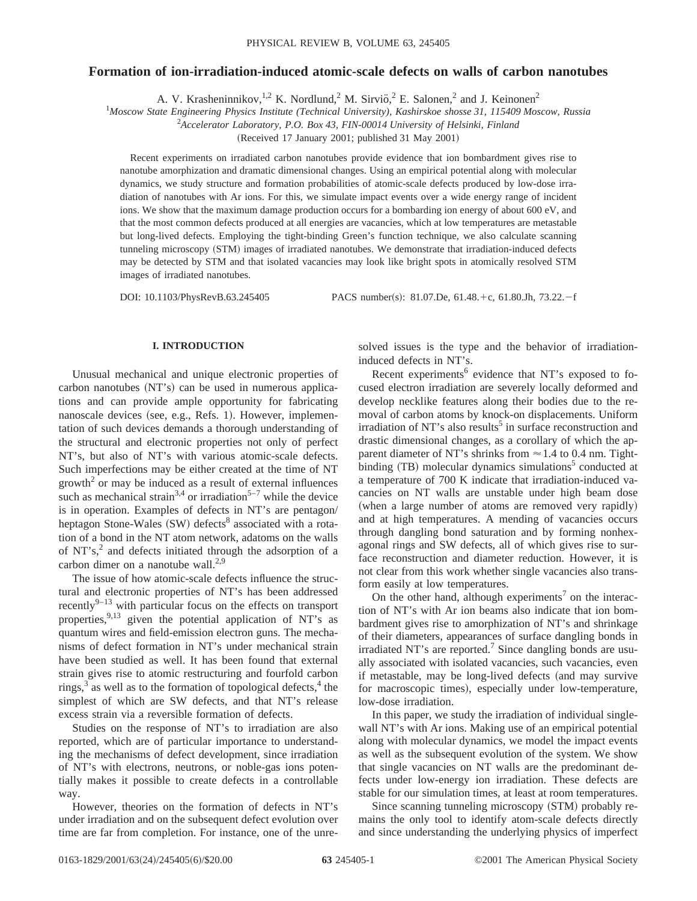# **Formation of ion-irradiation-induced atomic-scale defects on walls of carbon nanotubes**

A. V. Krasheninnikov,  $^{1,2}$  K. Nordlund,  $^2$  M. Sirvio,  $^2$  E. Salonen,  $^2$  and J. Keinonen $^2$ 

1 *Moscow State Engineering Physics Institute (Technical University), Kashirskoe shosse 31, 115409 Moscow, Russia*

2 *Accelerator Laboratory, P.O. Box 43, FIN-00014 University of Helsinki, Finland*

(Received 17 January 2001; published 31 May 2001)

Recent experiments on irradiated carbon nanotubes provide evidence that ion bombardment gives rise to nanotube amorphization and dramatic dimensional changes. Using an empirical potential along with molecular dynamics, we study structure and formation probabilities of atomic-scale defects produced by low-dose irradiation of nanotubes with Ar ions. For this, we simulate impact events over a wide energy range of incident ions. We show that the maximum damage production occurs for a bombarding ion energy of about 600 eV, and that the most common defects produced at all energies are vacancies, which at low temperatures are metastable but long-lived defects. Employing the tight-binding Green's function technique, we also calculate scanning tunneling microscopy (STM) images of irradiated nanotubes. We demonstrate that irradiation-induced defects may be detected by STM and that isolated vacancies may look like bright spots in atomically resolved STM images of irradiated nanotubes.

DOI:  $10.1103/PhysRevB.63.245405$  PACS number(s): 81.07.De, 61.48.+c, 61.80.Jh, 73.22.-f

### **I. INTRODUCTION**

Unusual mechanical and unique electronic properties of  $carbon$  nanotubes  $(NT's)$  can be used in numerous applications and can provide ample opportunity for fabricating nanoscale devices (see, e.g., Refs. 1). However, implementation of such devices demands a thorough understanding of the structural and electronic properties not only of perfect NT's, but also of NT's with various atomic-scale defects. Such imperfections may be either created at the time of NT  $growth<sup>2</sup>$  or may be induced as a result of external influences such as mechanical strain<sup>3,4</sup> or irradiation<sup>5-7</sup> while the device is in operation. Examples of defects in NT's are pentagon/ heptagon Stone-Wales  $(SW)$  defects<sup>8</sup> associated with a rotation of a bond in the NT atom network, adatoms on the walls of  $NT's$ ,<sup>2</sup> and defects initiated through the adsorption of a carbon dimer on a nanotube wall. $2,9$ 

The issue of how atomic-scale defects influence the structural and electronic properties of NT's has been addressed recently<sup>9–13</sup> with particular focus on the effects on transport properties,  $9,13$  given the potential application of NT's as quantum wires and field-emission electron guns. The mechanisms of defect formation in NT's under mechanical strain have been studied as well. It has been found that external strain gives rise to atomic restructuring and fourfold carbon rings, $3$  as well as to the formation of topological defects, $4$  the simplest of which are SW defects, and that NT's release excess strain via a reversible formation of defects.

Studies on the response of NT's to irradiation are also reported, which are of particular importance to understanding the mechanisms of defect development, since irradiation of NT's with electrons, neutrons, or noble-gas ions potentially makes it possible to create defects in a controllable way.

However, theories on the formation of defects in NT's under irradiation and on the subsequent defect evolution over time are far from completion. For instance, one of the unresolved issues is the type and the behavior of irradiationinduced defects in NT's.

Recent experiments $6$  evidence that NT's exposed to focused electron irradiation are severely locally deformed and develop necklike features along their bodies due to the removal of carbon atoms by knock-on displacements. Uniform irradiation of NT's also results<sup>5</sup> in surface reconstruction and drastic dimensional changes, as a corollary of which the apparent diameter of NT's shrinks from  $\approx$  1.4 to 0.4 nm. Tightbinding  $(TB)$  molecular dynamics simulations<sup>5</sup> conducted at a temperature of 700 K indicate that irradiation-induced vacancies on NT walls are unstable under high beam dose (when a large number of atoms are removed very rapidly) and at high temperatures. A mending of vacancies occurs through dangling bond saturation and by forming nonhexagonal rings and SW defects, all of which gives rise to surface reconstruction and diameter reduction. However, it is not clear from this work whether single vacancies also transform easily at low temperatures.

On the other hand, although experiments<sup>7</sup> on the interaction of NT's with Ar ion beams also indicate that ion bombardment gives rise to amorphization of NT's and shrinkage of their diameters, appearances of surface dangling bonds in irradiated NT's are reported.<sup>7</sup> Since dangling bonds are usually associated with isolated vacancies, such vacancies, even if metastable, may be long-lived defects (and may survive for macroscopic times), especially under low-temperature, low-dose irradiation.

In this paper, we study the irradiation of individual singlewall NT's with Ar ions. Making use of an empirical potential along with molecular dynamics, we model the impact events as well as the subsequent evolution of the system. We show that single vacancies on NT walls are the predominant defects under low-energy ion irradiation. These defects are stable for our simulation times, at least at room temperatures.

Since scanning tunneling microscopy (STM) probably remains the only tool to identify atom-scale defects directly and since understanding the underlying physics of imperfect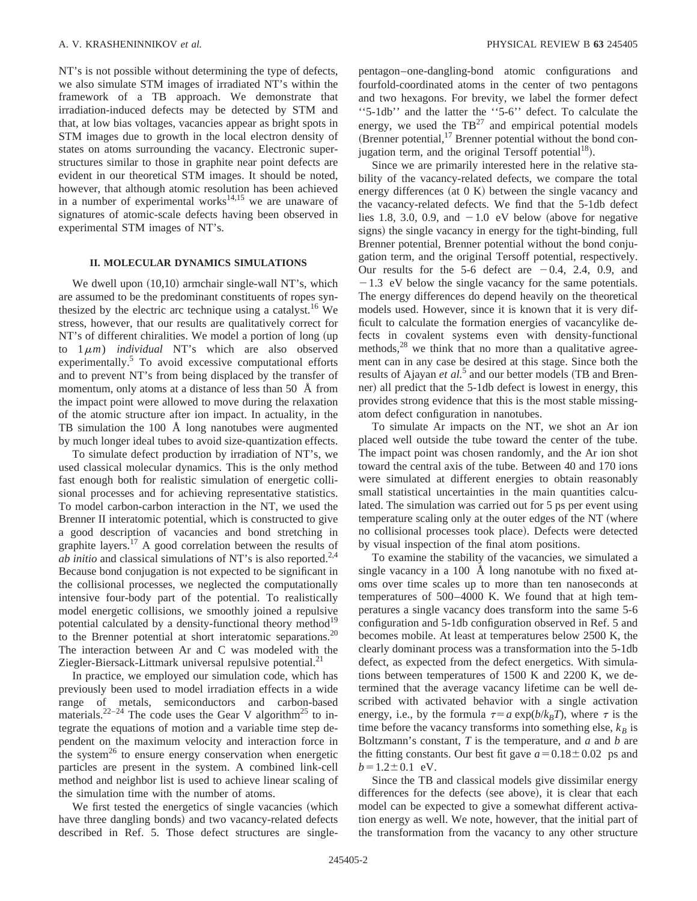NT's is not possible without determining the type of defects, we also simulate STM images of irradiated NT's within the framework of a TB approach. We demonstrate that irradiation-induced defects may be detected by STM and that, at low bias voltages, vacancies appear as bright spots in STM images due to growth in the local electron density of states on atoms surrounding the vacancy. Electronic superstructures similar to those in graphite near point defects are evident in our theoretical STM images. It should be noted, however, that although atomic resolution has been achieved in a number of experimental works $14,15$  we are unaware of signatures of atomic-scale defects having been observed in experimental STM images of NT's.

## **II. MOLECULAR DYNAMICS SIMULATIONS**

We dwell upon  $(10,10)$  armchair single-wall NT's, which are assumed to be the predominant constituents of ropes synthesized by the electric arc technique using a catalyst.<sup>16</sup> We stress, however, that our results are qualitatively correct for NT's of different chiralities. We model a portion of long (up to  $1 \mu m$ ) *individual* NT's which are also observed experimentally.<sup>5</sup> To avoid excessive computational efforts and to prevent NT's from being displaced by the transfer of momentum, only atoms at a distance of less than 50 Å from the impact point were allowed to move during the relaxation of the atomic structure after ion impact. In actuality, in the TB simulation the 100 Å long nanotubes were augmented by much longer ideal tubes to avoid size-quantization effects.

To simulate defect production by irradiation of NT's, we used classical molecular dynamics. This is the only method fast enough both for realistic simulation of energetic collisional processes and for achieving representative statistics. To model carbon-carbon interaction in the NT, we used the Brenner II interatomic potential, which is constructed to give a good description of vacancies and bond stretching in graphite layers.<sup>17</sup> A good correlation between the results of *ab initio* and classical simulations of NT's is also reported.<sup>2,4</sup> Because bond conjugation is not expected to be significant in the collisional processes, we neglected the computationally intensive four-body part of the potential. To realistically model energetic collisions, we smoothly joined a repulsive potential calculated by a density-functional theory method<sup>19</sup> to the Brenner potential at short interatomic separations.<sup>20</sup> The interaction between Ar and C was modeled with the Ziegler-Biersack-Littmark universal repulsive potential.<sup>21</sup>

In practice, we employed our simulation code, which has previously been used to model irradiation effects in a wide range of metals, semiconductors and carbon-based materials.<sup>22–24</sup> The code uses the Gear V algorithm<sup>25</sup> to integrate the equations of motion and a variable time step dependent on the maximum velocity and interaction force in the system<sup>26</sup> to ensure energy conservation when energetic particles are present in the system. A combined link-cell method and neighbor list is used to achieve linear scaling of the simulation time with the number of atoms.

We first tested the energetics of single vacancies (which have three dangling bonds) and two vacancy-related defects described in Ref. 5. Those defect structures are singlepentagon–one-dangling-bond atomic configurations and fourfold-coordinated atoms in the center of two pentagons and two hexagons. For brevity, we label the former defect ''5-1db'' and the latter the ''5-6'' defect. To calculate the energy, we used the  $TB^{27}$  and empirical potential models (Brenner potential, $17$  Brenner potential without the bond conjugation term, and the original Tersoff potential<sup>18</sup>).

Since we are primarily interested here in the relative stability of the vacancy-related defects, we compare the total energy differences (at  $(0 K)$  between the single vacancy and the vacancy-related defects. We find that the 5-1db defect lies 1.8, 3.0, 0.9, and  $-1.0$  eV below (above for negative signs) the single vacancy in energy for the tight-binding, full Brenner potential, Brenner potential without the bond conjugation term, and the original Tersoff potential, respectively. Our results for the 5-6 defect are  $-0.4$ , 2.4, 0.9, and  $-1.3$  eV below the single vacancy for the same potentials. The energy differences do depend heavily on the theoretical models used. However, since it is known that it is very difficult to calculate the formation energies of vacancylike defects in covalent systems even with density-functional methods,<sup>28</sup> we think that no more than a qualitative agreement can in any case be desired at this stage. Since both the results of Ajayan *et al.*<sup>5</sup> and our better models (TB and Brenner) all predict that the 5-1db defect is lowest in energy, this provides strong evidence that this is the most stable missingatom defect configuration in nanotubes.

To simulate Ar impacts on the NT, we shot an Ar ion placed well outside the tube toward the center of the tube. The impact point was chosen randomly, and the Ar ion shot toward the central axis of the tube. Between 40 and 170 ions were simulated at different energies to obtain reasonably small statistical uncertainties in the main quantities calculated. The simulation was carried out for 5 ps per event using temperature scaling only at the outer edges of the NT (where no collisional processes took place). Defects were detected by visual inspection of the final atom positions.

To examine the stability of the vacancies, we simulated a single vacancy in a 100 Å long nanotube with no fixed atoms over time scales up to more than ten nanoseconds at temperatures of 500–4000 K. We found that at high temperatures a single vacancy does transform into the same 5-6 configuration and 5-1db configuration observed in Ref. 5 and becomes mobile. At least at temperatures below 2500 K, the clearly dominant process was a transformation into the 5-1db defect, as expected from the defect energetics. With simulations between temperatures of 1500 K and 2200 K, we determined that the average vacancy lifetime can be well described with activated behavior with a single activation energy, i.e., by the formula  $\tau = a \exp(b/k_B T)$ , where  $\tau$  is the time before the vacancy transforms into something else,  $k_B$  is Boltzmann's constant, *T* is the temperature, and *a* and *b* are the fitting constants. Our best fit gave  $a=0.18\pm0.02$  ps and  $b=1.2\pm0.1$  eV.

Since the TB and classical models give dissimilar energy differences for the defects (see above), it is clear that each model can be expected to give a somewhat different activation energy as well. We note, however, that the initial part of the transformation from the vacancy to any other structure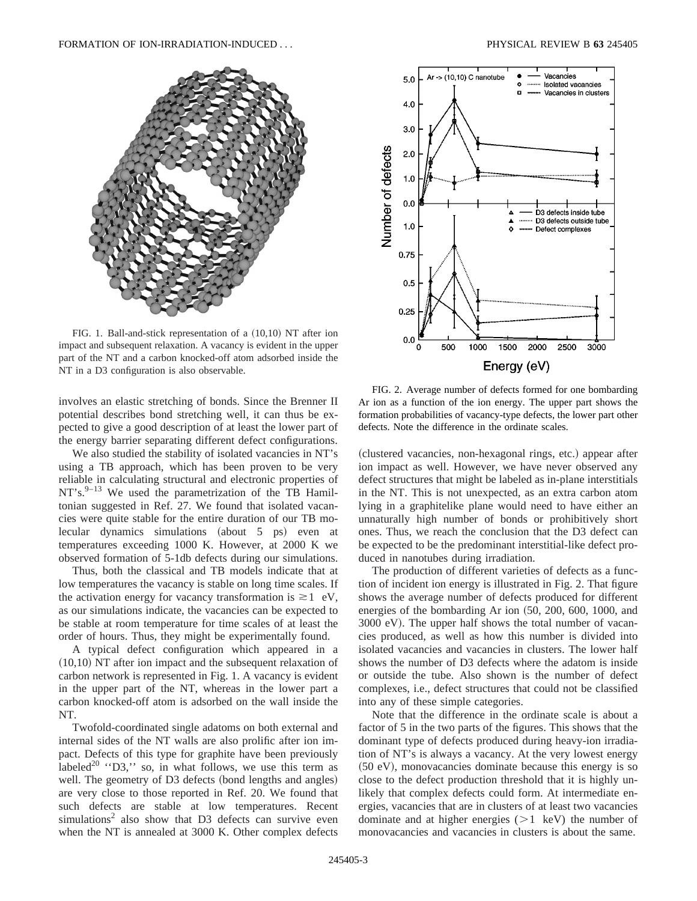

FIG. 1. Ball-and-stick representation of a  $(10,10)$  NT after ion impact and subsequent relaxation. A vacancy is evident in the upper part of the NT and a carbon knocked-off atom adsorbed inside the NT in a D3 configuration is also observable.

involves an elastic stretching of bonds. Since the Brenner II potential describes bond stretching well, it can thus be expected to give a good description of at least the lower part of the energy barrier separating different defect configurations.

We also studied the stability of isolated vacancies in NT's using a TB approach, which has been proven to be very reliable in calculating structural and electronic properties of  $NT's.<sup>9-13</sup>$  We used the parametrization of the TB Hamiltonian suggested in Ref. 27. We found that isolated vacancies were quite stable for the entire duration of our TB molecular dynamics simulations  $(about 5 ps)$  even at temperatures exceeding 1000 K. However, at 2000 K we observed formation of 5-1db defects during our simulations.

Thus, both the classical and TB models indicate that at low temperatures the vacancy is stable on long time scales. If the activation energy for vacancy transformation is  $\geq 1$  eV, as our simulations indicate, the vacancies can be expected to be stable at room temperature for time scales of at least the order of hours. Thus, they might be experimentally found.

A typical defect configuration which appeared in a  $(10,10)$  NT after ion impact and the subsequent relaxation of carbon network is represented in Fig. 1. A vacancy is evident in the upper part of the NT, whereas in the lower part a carbon knocked-off atom is adsorbed on the wall inside the NT.

Twofold-coordinated single adatoms on both external and internal sides of the NT walls are also prolific after ion impact. Defects of this type for graphite have been previously labeled<sup>20</sup>  $\cdot$  D3,  $\cdot$  so, in what follows, we use this term as well. The geometry of D3 defects (bond lengths and angles) are very close to those reported in Ref. 20. We found that such defects are stable at low temperatures. Recent  $simulations<sup>2</sup>$  also show that D3 defects can survive even when the NT is annealed at 3000 K. Other complex defects



FIG. 2. Average number of defects formed for one bombarding Ar ion as a function of the ion energy. The upper part shows the formation probabilities of vacancy-type defects, the lower part other defects. Note the difference in the ordinate scales.

(clustered vacancies, non-hexagonal rings, etc.) appear after ion impact as well. However, we have never observed any defect structures that might be labeled as in-plane interstitials in the NT. This is not unexpected, as an extra carbon atom lying in a graphitelike plane would need to have either an unnaturally high number of bonds or prohibitively short ones. Thus, we reach the conclusion that the D3 defect can be expected to be the predominant interstitial-like defect produced in nanotubes during irradiation.

The production of different varieties of defects as a function of incident ion energy is illustrated in Fig. 2. That figure shows the average number of defects produced for different energies of the bombarding Ar ion  $(50, 200, 600, 1000,$  and 3000 eV). The upper half shows the total number of vacancies produced, as well as how this number is divided into isolated vacancies and vacancies in clusters. The lower half shows the number of D3 defects where the adatom is inside or outside the tube. Also shown is the number of defect complexes, i.e., defect structures that could not be classified into any of these simple categories.

Note that the difference in the ordinate scale is about a factor of 5 in the two parts of the figures. This shows that the dominant type of defects produced during heavy-ion irradiation of NT's is always a vacancy. At the very lowest energy  $(50 \text{ eV})$ , monovacancies dominate because this energy is so close to the defect production threshold that it is highly unlikely that complex defects could form. At intermediate energies, vacancies that are in clusters of at least two vacancies dominate and at higher energies  $(>1 \text{ keV})$  the number of monovacancies and vacancies in clusters is about the same.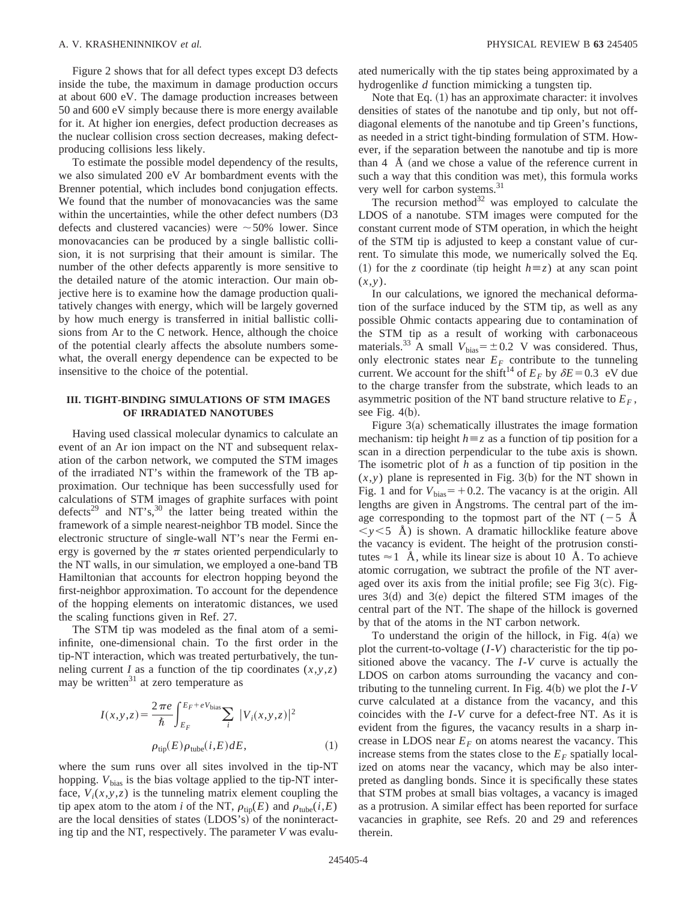Figure 2 shows that for all defect types except D3 defects inside the tube, the maximum in damage production occurs at about 600 eV. The damage production increases between 50 and 600 eV simply because there is more energy available for it. At higher ion energies, defect production decreases as the nuclear collision cross section decreases, making defectproducing collisions less likely.

To estimate the possible model dependency of the results, we also simulated 200 eV Ar bombardment events with the Brenner potential, which includes bond conjugation effects. We found that the number of monovacancies was the same within the uncertainties, while the other defect numbers  $(D3)$ defects and clustered vacancies) were  $\sim$  50% lower. Since monovacancies can be produced by a single ballistic collision, it is not surprising that their amount is similar. The number of the other defects apparently is more sensitive to the detailed nature of the atomic interaction. Our main objective here is to examine how the damage production qualitatively changes with energy, which will be largely governed by how much energy is transferred in initial ballistic collisions from Ar to the C network. Hence, although the choice of the potential clearly affects the absolute numbers somewhat, the overall energy dependence can be expected to be insensitive to the choice of the potential.

### **III. TIGHT-BINDING SIMULATIONS OF STM IMAGES OF IRRADIATED NANOTUBES**

Having used classical molecular dynamics to calculate an event of an Ar ion impact on the NT and subsequent relaxation of the carbon network, we computed the STM images of the irradiated NT's within the framework of the TB approximation. Our technique has been successfully used for calculations of STM images of graphite surfaces with point defects<sup>29</sup> and NT's,<sup>30</sup> the latter being treated within the framework of a simple nearest-neighbor TB model. Since the electronic structure of single-wall NT's near the Fermi energy is governed by the  $\pi$  states oriented perpendicularly to the NT walls, in our simulation, we employed a one-band TB Hamiltonian that accounts for electron hopping beyond the first-neighbor approximation. To account for the dependence of the hopping elements on interatomic distances, we used the scaling functions given in Ref. 27.

The STM tip was modeled as the final atom of a semiinfinite, one-dimensional chain. To the first order in the tip-NT interaction, which was treated perturbatively, the tunneling current *I* as a function of the tip coordinates  $(x, y, z)$ may be written $31$  at zero temperature as

$$
I(x, y, z) = \frac{2 \pi e}{\hbar} \int_{E_F}^{E_F + eV_{\text{bias}}} \sum_i |V_i(x, y, z)|^2
$$
  

$$
\rho_{\text{tip}}(E) \rho_{\text{tube}}(i, E) dE,
$$
 (1)

where the sum runs over all sites involved in the tip-NT hopping.  $V_{bias}$  is the bias voltage applied to the tip-NT interface,  $V_i(x, y, z)$  is the tunneling matrix element coupling the tip apex atom to the atom *i* of the NT,  $\rho_{\text{tip}}(E)$  and  $\rho_{\text{tube}}(i,E)$ are the local densities of states (LDOS's) of the noninteracting tip and the NT, respectively. The parameter *V* was evaluated numerically with the tip states being approximated by a hydrogenlike *d* function mimicking a tungsten tip.

Note that Eq.  $(1)$  has an approximate character: it involves densities of states of the nanotube and tip only, but not offdiagonal elements of the nanotube and tip Green's functions, as needed in a strict tight-binding formulation of STM. However, if the separation between the nanotube and tip is more than  $4 \text{ Å}$  (and we chose a value of the reference current in such a way that this condition was met), this formula works very well for carbon systems.<sup>31</sup>

The recursion method $32$  was employed to calculate the LDOS of a nanotube. STM images were computed for the constant current mode of STM operation, in which the height of the STM tip is adjusted to keep a constant value of current. To simulate this mode, we numerically solved the Eq. (1) for the *z* coordinate (tip height  $h \equiv z$ ) at any scan point (*x*,*y*).

In our calculations, we ignored the mechanical deformation of the surface induced by the STM tip, as well as any possible Ohmic contacts appearing due to contamination of the STM tip as a result of working with carbonaceous materials.<sup>33</sup> A small  $V_{bias} = \pm 0.2$  V was considered. Thus, only electronic states near  $E_F$  contribute to the tunneling current. We account for the shift<sup>14</sup> of  $E_F$  by  $\delta E = 0.3$  eV due to the charge transfer from the substrate, which leads to an asymmetric position of the NT band structure relative to  $E_F$ , see Fig.  $4(b)$ .

Figure  $3(a)$  schematically illustrates the image formation mechanism: tip height  $h \equiv z$  as a function of tip position for a scan in a direction perpendicular to the tube axis is shown. The isometric plot of *h* as a function of tip position in the  $(x, y)$  plane is represented in Fig. 3(b) for the NT shown in Fig. 1 and for  $V_{bias} = +0.2$ . The vacancy is at the origin. All lengths are given in Ångstroms. The central part of the image corresponding to the topmost part of the NT ( $-5$  Å  $\langle y \rangle$ ,5 Å) is shown. A dramatic hillocklike feature above the vacancy is evident. The height of the protrusion constitutes  $\approx$  1 Å, while its linear size is about 10 Å. To achieve atomic corrugation, we subtract the profile of the NT averaged over its axis from the initial profile; see Fig  $3(c)$ . Figures  $3(d)$  and  $3(e)$  depict the filtered STM images of the central part of the NT. The shape of the hillock is governed by that of the atoms in the NT carbon network.

To understand the origin of the hillock, in Fig.  $4(a)$  we plot the current-to-voltage (*I*-*V*) characteristic for the tip positioned above the vacancy. The *I*-*V* curve is actually the LDOS on carbon atoms surrounding the vacancy and contributing to the tunneling current. In Fig.  $4(b)$  we plot the  $I-V$ curve calculated at a distance from the vacancy, and this coincides with the *I*-*V* curve for a defect-free NT. As it is evident from the figures, the vacancy results in a sharp increase in LDOS near  $E_F$  on atoms nearest the vacancy. This increase stems from the states close to the  $E_F$  spatially localized on atoms near the vacancy, which may be also interpreted as dangling bonds. Since it is specifically these states that STM probes at small bias voltages, a vacancy is imaged as a protrusion. A similar effect has been reported for surface vacancies in graphite, see Refs. 20 and 29 and references therein.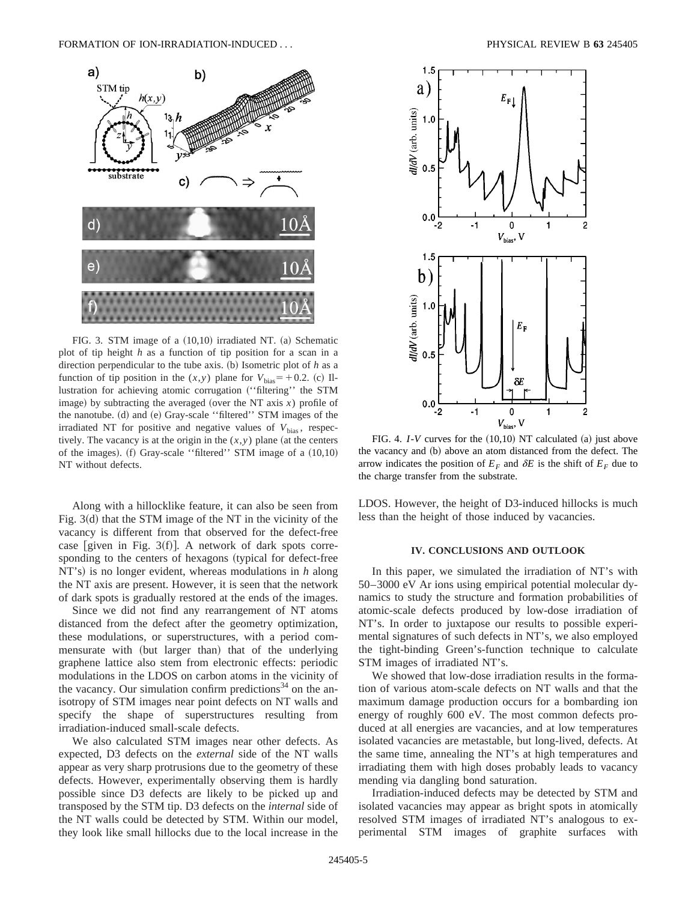

FIG. 3. STM image of a  $(10,10)$  irradiated NT.  $(a)$  Schematic plot of tip height *h* as a function of tip position for a scan in a direction perpendicular to the tube axis.  $(b)$  Isometric plot of  $h$  as a function of tip position in the  $(x, y)$  plane for  $V_{bias} = +0.2$ . (c) Illustration for achieving atomic corrugation ("filtering" the STM image) by subtracting the averaged (over the NT axis  $x$ ) profile of the nanotube. (d) and (e) Gray-scale "filtered" STM images of the irradiated NT for positive and negative values of  $V_{bias}$ , respectively. The vacancy is at the origin in the  $(x, y)$  plane (at the centers of the images).  $(f)$  Gray-scale "filtered" STM image of a  $(10,10)$ NT without defects.

Along with a hillocklike feature, it can also be seen from Fig.  $3(d)$  that the STM image of the NT in the vicinity of the vacancy is different from that observed for the defect-free case [given in Fig. 3 $(f)$ ]. A network of dark spots corresponding to the centers of hexagons (typical for defect-free NT's) is no longer evident, whereas modulations in *h* along the NT axis are present. However, it is seen that the network of dark spots is gradually restored at the ends of the images.

Since we did not find any rearrangement of NT atoms distanced from the defect after the geometry optimization, these modulations, or superstructures, with a period commensurate with (but larger than) that of the underlying graphene lattice also stem from electronic effects: periodic modulations in the LDOS on carbon atoms in the vicinity of the vacancy. Our simulation confirm predictions<sup>34</sup> on the anisotropy of STM images near point defects on NT walls and specify the shape of superstructures resulting from irradiation-induced small-scale defects.

We also calculated STM images near other defects. As expected, D3 defects on the *external* side of the NT walls appear as very sharp protrusions due to the geometry of these defects. However, experimentally observing them is hardly possible since D3 defects are likely to be picked up and transposed by the STM tip. D3 defects on the *internal* side of the NT walls could be detected by STM. Within our model, they look like small hillocks due to the local increase in the



FIG. 4.  $I-V$  curves for the  $(10,10)$  NT calculated  $(a)$  just above the vacancy and (b) above an atom distanced from the defect. The arrow indicates the position of  $E_F$  and  $\delta E$  is the shift of  $E_F$  due to the charge transfer from the substrate.

LDOS. However, the height of D3-induced hillocks is much less than the height of those induced by vacancies.

# **IV. CONCLUSIONS AND OUTLOOK**

In this paper, we simulated the irradiation of NT's with 50–3000 eV Ar ions using empirical potential molecular dynamics to study the structure and formation probabilities of atomic-scale defects produced by low-dose irradiation of NT's. In order to juxtapose our results to possible experimental signatures of such defects in NT's, we also employed the tight-binding Green's-function technique to calculate STM images of irradiated NT's.

We showed that low-dose irradiation results in the formation of various atom-scale defects on NT walls and that the maximum damage production occurs for a bombarding ion energy of roughly 600 eV. The most common defects produced at all energies are vacancies, and at low temperatures isolated vacancies are metastable, but long-lived, defects. At the same time, annealing the NT's at high temperatures and irradiating them with high doses probably leads to vacancy mending via dangling bond saturation.

Irradiation-induced defects may be detected by STM and isolated vacancies may appear as bright spots in atomically resolved STM images of irradiated NT's analogous to experimental STM images of graphite surfaces with